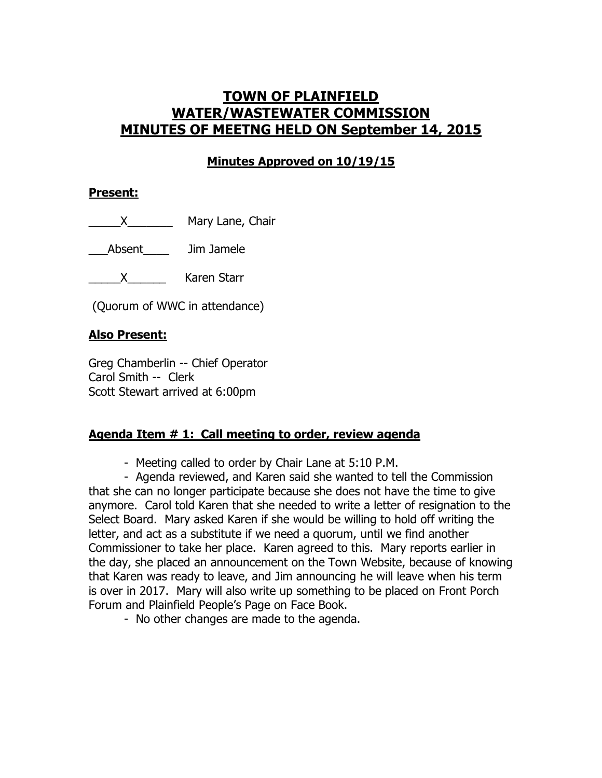# **TOWN OF PLAINFIELD WATER/WASTEWATER COMMISSION MINUTES OF MEETNG HELD ON September 14, 2015**

# **Minutes Approved on 10/19/15**

#### **Present:**

X\_\_\_\_\_\_\_\_\_\_\_\_\_\_ Mary Lane, Chair

\_\_\_Absent\_\_\_\_ Jim Jamele

\_\_\_\_\_X\_\_\_\_\_\_ Karen Starr

(Quorum of WWC in attendance)

### **Also Present:**

Greg Chamberlin -- Chief Operator Carol Smith -- Clerk Scott Stewart arrived at 6:00pm

### **Agenda Item # 1: Call meeting to order, review agenda**

- Meeting called to order by Chair Lane at 5:10 P.M.

- Agenda reviewed, and Karen said she wanted to tell the Commission that she can no longer participate because she does not have the time to give anymore. Carol told Karen that she needed to write a letter of resignation to the Select Board. Mary asked Karen if she would be willing to hold off writing the letter, and act as a substitute if we need a quorum, until we find another Commissioner to take her place. Karen agreed to this. Mary reports earlier in the day, she placed an announcement on the Town Website, because of knowing that Karen was ready to leave, and Jim announcing he will leave when his term is over in 2017. Mary will also write up something to be placed on Front Porch Forum and Plainfield People's Page on Face Book.

- No other changes are made to the agenda.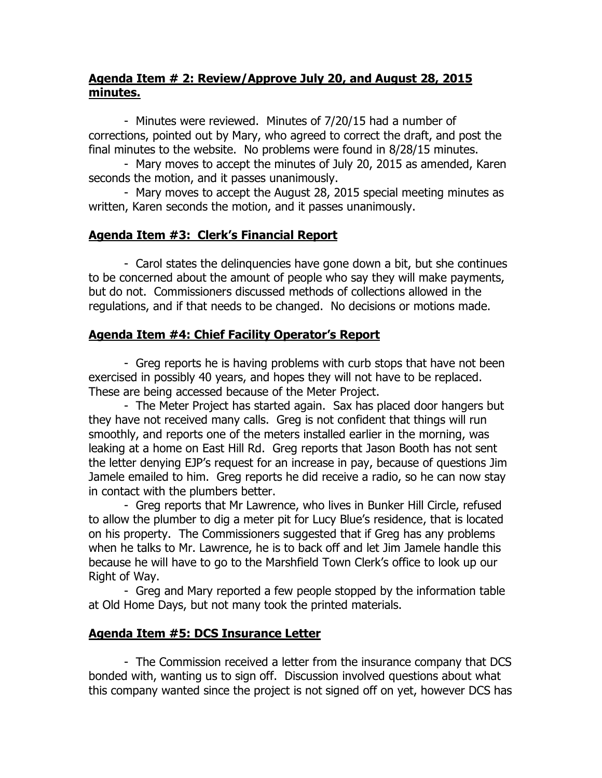### **Agenda Item # 2: Review/Approve July 20, and August 28, 2015 minutes.**

- Minutes were reviewed. Minutes of 7/20/15 had a number of corrections, pointed out by Mary, who agreed to correct the draft, and post the final minutes to the website. No problems were found in 8/28/15 minutes.

- Mary moves to accept the minutes of July 20, 2015 as amended, Karen seconds the motion, and it passes unanimously.

- Mary moves to accept the August 28, 2015 special meeting minutes as written, Karen seconds the motion, and it passes unanimously.

### **Agenda Item #3: Clerk's Financial Report**

- Carol states the delinquencies have gone down a bit, but she continues to be concerned about the amount of people who say they will make payments, but do not. Commissioners discussed methods of collections allowed in the regulations, and if that needs to be changed. No decisions or motions made.

## **Agenda Item #4: Chief Facility Operator's Report**

- Greg reports he is having problems with curb stops that have not been exercised in possibly 40 years, and hopes they will not have to be replaced. These are being accessed because of the Meter Project.

- The Meter Project has started again. Sax has placed door hangers but they have not received many calls. Greg is not confident that things will run smoothly, and reports one of the meters installed earlier in the morning, was leaking at a home on East Hill Rd. Greg reports that Jason Booth has not sent the letter denying EJP's request for an increase in pay, because of questions Jim Jamele emailed to him. Greg reports he did receive a radio, so he can now stay in contact with the plumbers better.

- Greg reports that Mr Lawrence, who lives in Bunker Hill Circle, refused to allow the plumber to dig a meter pit for Lucy Blue's residence, that is located on his property. The Commissioners suggested that if Greg has any problems when he talks to Mr. Lawrence, he is to back off and let Jim Jamele handle this because he will have to go to the Marshfield Town Clerk's office to look up our Right of Way.

- Greg and Mary reported a few people stopped by the information table at Old Home Days, but not many took the printed materials.

## **Agenda Item #5: DCS Insurance Letter**

- The Commission received a letter from the insurance company that DCS bonded with, wanting us to sign off. Discussion involved questions about what this company wanted since the project is not signed off on yet, however DCS has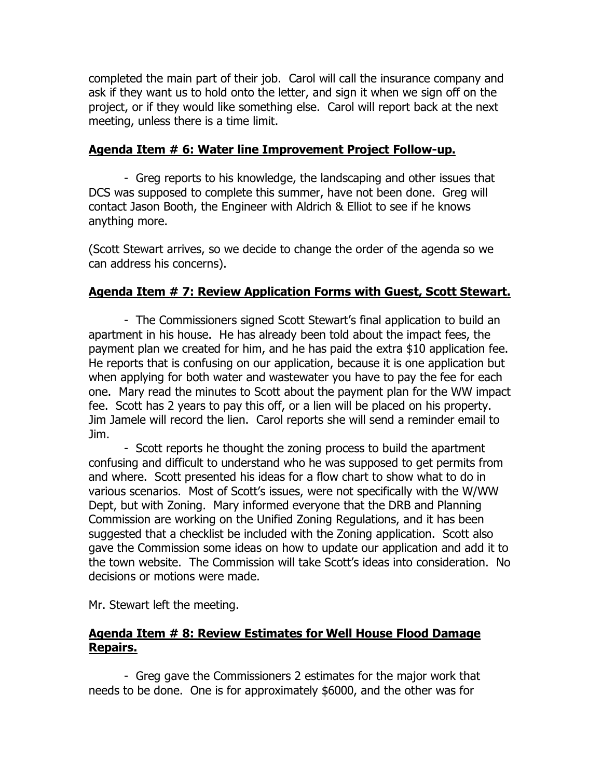completed the main part of their job. Carol will call the insurance company and ask if they want us to hold onto the letter, and sign it when we sign off on the project, or if they would like something else. Carol will report back at the next meeting, unless there is a time limit.

#### **Agenda Item # 6: Water line Improvement Project Follow-up.**

- Greg reports to his knowledge, the landscaping and other issues that DCS was supposed to complete this summer, have not been done. Greg will contact Jason Booth, the Engineer with Aldrich & Elliot to see if he knows anything more.

(Scott Stewart arrives, so we decide to change the order of the agenda so we can address his concerns).

#### **Agenda Item # 7: Review Application Forms with Guest, Scott Stewart.**

- The Commissioners signed Scott Stewart's final application to build an apartment in his house. He has already been told about the impact fees, the payment plan we created for him, and he has paid the extra \$10 application fee. He reports that is confusing on our application, because it is one application but when applying for both water and wastewater you have to pay the fee for each one. Mary read the minutes to Scott about the payment plan for the WW impact fee. Scott has 2 years to pay this off, or a lien will be placed on his property. Jim Jamele will record the lien. Carol reports she will send a reminder email to Jim.

- Scott reports he thought the zoning process to build the apartment confusing and difficult to understand who he was supposed to get permits from and where. Scott presented his ideas for a flow chart to show what to do in various scenarios. Most of Scott's issues, were not specifically with the W/WW Dept, but with Zoning. Mary informed everyone that the DRB and Planning Commission are working on the Unified Zoning Regulations, and it has been suggested that a checklist be included with the Zoning application. Scott also gave the Commission some ideas on how to update our application and add it to the town website. The Commission will take Scott's ideas into consideration. No decisions or motions were made.

Mr. Stewart left the meeting.

### **Agenda Item # 8: Review Estimates for Well House Flood Damage Repairs.**

- Greg gave the Commissioners 2 estimates for the major work that needs to be done. One is for approximately \$6000, and the other was for